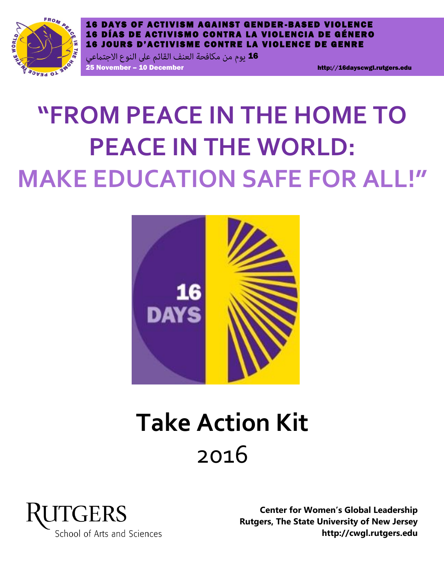

# VISM AGAINST GENDER-BASED VI 16 DÍAS DE ACTIVISMO CONTRA LA VIOLENCIA DE GÉN JOURS D'ACTIVISME CONTRE LA VIOLENCE DE GI

**16** يوم من مكافحة العنف القائم على النوع الاجتماعي 25 November – 10 December http://16dayscwgl.rutgers.edu

# **"FROM PEACE IN THE HOME TO PEACE IN THE WORLD: MAKE EDUCATION SAFE FOR ALL!"**



# **Take Action Kit** 2016



**Center for Women's Global Leadership Rutgers, The State University of New Jersey http://cwgl.rutgers.edu**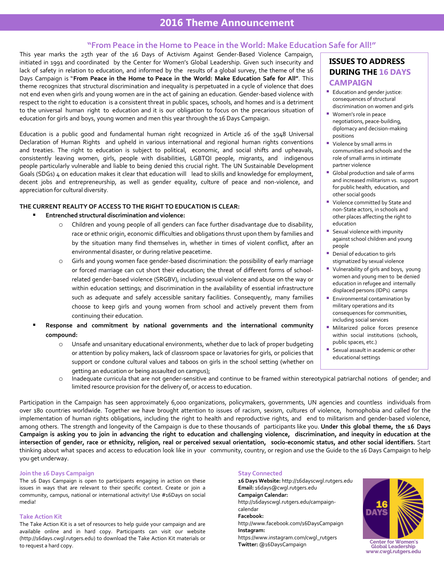# **"From Peace in the Home to Peace in the World: Make Education Safe for All!"**

This year marks the 25th year of the 16 Days of Activism Against Gender-Based Violence Campaign, initiated in 1991 and coordinated by the Center for Women's Global Leadership. Given such insecurity and lack of safety in relation to education, and informed by the results of a global survey, the theme of the 16 Days Campaign is "**From Peace in the Home to Peace in the World: Make Education Safe for All"**. This theme recognizes that structural discrimination and inequality is perpetuated in a cycle of violence that does not end even when girls and young women are in the act of gaining an education. Gender-based violence with respect to the right to education is a consistent threat in public spaces, schools, and homes and is a detriment to the universal human right to education and it is our obligation to focus on the precarious situation of education for girls and boys, young women and men this year through the 16 Days Campaign.

Education is a public good and fundamental human right recognized in Article 26 of the 1948 Universal Declaration of Human Rights and upheld in various international and regional human rights conventions and treaties. The right to education is subject to political, economic, and social shifts and upheavals, consistently leaving women, girls, people with disabilities, LGBTQI people, migrants, and indigenous people particularly vulnerable and liable to being denied this crucial right. The UN Sustainable Development Goals (SDGs) 4 on education makes it clear that education will lead to skills and knowledge for employment, decent jobs and entrepreneurship, as well as gender equality, culture of peace and non-violence, and appreciation for cultural diversity.

## **THE CURRENT REALITY OF ACCESS TO THE RIGHT TO EDUCATION IS CLEAR:**

#### **Entrenched structural discrimination and violence:**

- o Children and young people of all genders can face further disadvantage due to disability, race or ethnic origin, economic difficulties and obligations thrust upon them by families and by the situation many find themselves in, whether in times of violent conflict, after an environmental disaster, or during relative peacetime.
- o Girls and young women face gender-based discrimination: the possibility of early marriage or forced marriage can cut short their education; the threat of different forms of schoolrelated gender-based violence (SRGBV), including sexual violence and abuse on the way or within education settings; and discrimination in the availability of essential infrastructure such as adequate and safely accessible sanitary facilities. Consequently, many families choose to keep girls and young women from school and actively prevent them from continuing their education.
- **Response and commitment by national governments and the international community compound:**
	- o Unsafe and unsanitary educational environments, whether due to lack of proper budgeting or attention by policy makers, lack of classroom space or lavatories for girls, or policies that support or condone cultural values and taboos on girls in the school setting (whether on getting an education or being assaulted on campus);
	- o Inadequate curricula that are not gender-sensitive and continue to be framed within stereotypical patriarchal notions of gender; and limited resource provision for the delivery of, or access to education.

Participation in the Campaign has seen approximately 6,000 organizations, policymakers, governments, UN agencies and countless individuals from over 180 countries worldwide. Together we have brought attention to issues of racism, sexism, cultures of violence, homophobia and called for the implementation of human rights obligations, including the right to health and reproductive rights, and end to militarism and gender-based violence, among others. The strength and longevity of the Campaign is due to these thousands of participants like you. **Under this global theme, the 16 Days** Campaign is asking you to join in advancing the right to education and challenging violence, discrimination, and inequity in education at the intersection of gender, race or ethnicity, religion, real or perceived sexual orientation, socio-economic status, and other social identifiers. Start thinking about what spaces and access to education look like in your community, country, or region and use the Guide to the 16 Days Campaign to help you get underway.

#### **Join the 16 Days Campaign**

The 16 Days Campaign is open to participants engaging in action on these issues in ways that are relevant to their specific context. Create or join a community, campus, national or international activity! Use #16Days on social media!

#### **Take Action Kit**

The Take Action Kit is a set of resources to help guide your campaign and are available online and in hard copy. Participants can visit our website (http://16days.cwgl.rutgers.edu) to download the Take Action Kit materials or to request a hard copy.

#### **Stay Connected**

**16 Days Website:** http://16dayscwgl.rutgers.edu **Email:** 16days@cwgl.rutgers.edu **Campaign Calendar:** http://16dayscwgl.rutgers.edu/campaigncalendar **Facebook:** http://www.facebook.com/16DaysCampaign **Instagram:** https://www.instagram.com/cwgl\_rutgers **Twitter:** @16DaysCampaign

# **ISSUES TO ADDRESS DURING THE 16 DAYS CAMPAIGN**

- **Education and gender justice:** consequences of structural discrimination on women and girls
- **Women's role in peace** negotiations, peace-building, diplomacy and decision-making positions
- Violence by small arms in communities and schools and the role of small arms in intimate partner violence
- Global production and sale of arms and increased militarism vs. support for public health, education, and other social goods
- **Violence committed by State and** non-State actors, in schools and other places affecting the right to education
- **Sexual violence with impunity** against school children and young people
- **Denial of education to girls** stigmatized by sexual violence
- **Vulnerability of girls and boys, young** women and young men to be denied education in refugee and internally displaced persons (IDPs) camps
- **Environmental contamination by** military operations and its consequences for communities, including social services
- **Militarized police forces presence** within social institutions (schools, public spaces, etc.)
- **Sexual assault in academic or other** educational settings



Center for Women's<br>Global Leadership www.cwgl.rutgers.edu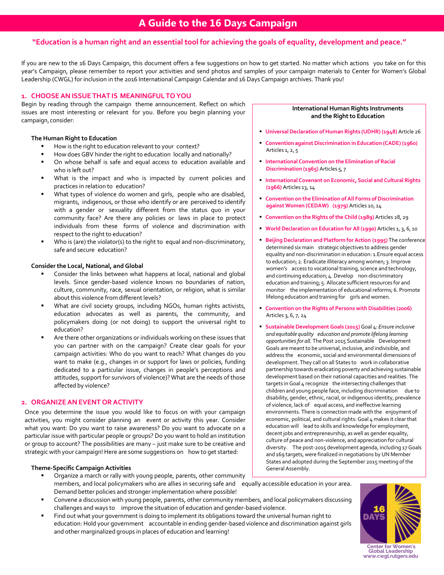# **A Guide to the 16 Days Campaign**

# **"Education is a human right and an essential tool for achieving the goals of equality, development and peace."**

If you are new to the 16 Days Campaign, this document offers a few suggestions on how to get started. No matter which actions you take on for this year's Campaign, please remember to report your activities and send photos and samples of your campaign materials to Center for Women's Global Leadership (CWGL) for inclusion in the 2016 International Campaign Calendar and 16 Days Campaign archives. Thank you!

#### **1. CHOOSE AN ISSUE THAT IS MEANINGFULTOYOU**

Begin by reading through the campaign theme announcement. Reflect on which issues are most interesting or relevant for you. Before you begin planning your campaign, consider:

#### **The Human Right to Education**

- How is the right to education relevant to your context?
- How does GBV hinder the right to education locally and nationally?
- On whose behalf is safe and equal access to education available and who is left out?
- What is the impact and who is impacted by current policies and practices in relation to education?
- What types of violence do women and girls, people who are disabled, migrants, indigenous, or those who identify or are perceived to identify with a gender or sexuality different from the status quo in your community face? Are there any policies or laws in place to protect individuals from these forms of violence and discrimination with respect to the right to education?
- Who is (are) the violator(s) to the right to equal and non-discriminatory, safe and secure education?

#### **Consider the Local, National, and Global**

- Consider the links between what happens at local, national and global levels. Since gender-based violence knows no boundaries of nation, culture, community, race, sexual orientation, or religion, what is similar about this violence from different levels?
- What are civil society groups, including NGOs, human rights activists, education advocates as well as parents, the community, and policymakers doing (or not doing) to support the universal right to education?
- Are there other organizations or individuals working on these issues that you can partner with on the campaign? Create clear goals for your campaign activities: Who do you want to reach? What changes do you want to make (e.g., changes in or support for laws or policies, funding dedicated to a particular issue, changes in people's perceptions and attitudes, support for survivors of violence)? What are the needs of those affected by violence?

#### **2. ORGANIZEAN EVENT ORACTIVITY**

Once you determine the issue you would like to focus on with your campaign activities, you might consider planning an event or activity this year. Consider what you want: Do you want to raise awareness? Do you want to advocate on a particular issue with particular people or groups? Do you want to hold an institution or group to account? The possibilities are many – just make sure to be creative and strategic with your campaign! Here are some suggestions on how to get started:

#### **Theme-Specific Campaign Activities**

- Organize a march or rally with young people, parents, other community members, and local policymakers who are allies in securing safe and equally accessible education in your area. Demand better policies and strongerimplementation where possible!
- Convene a discussion with young people, parents, other community members, and local policymakers discussing challenges and ways to improve the situation of education and gender-based violence.
- Find out what your government is doing to implement its obligations toward the universal human right to education: Hold your government accountable in ending gender-based violence and discrimination against girls and other marginalized groups in places of education and learning!

#### **International Human Rights Instruments and** the Right to Education

- **UniversalDeclaration ofHuman Rights (UDHR) (1948)** Article 26
- **Convention againstDiscrimination in Education (CADE) (1960)** Articles 1, 2, 5
- **International Convention on the Elimination of Racial Discrimination (1965)** Articles 5, 7
- **International Covenant on Economic, Social and Cultural Rights (1966)** Articles 13, 14
- **FICONVERTION CONVERTION IN A ELIMINATION OF All Forms of Discrimination against Women (CEDAW) (1979)** Articles 10, 14
- **Convention on the Rights of the Child (1989)** Articles 28, 29
- **WorldDeclaration on Education for All (1990)** Articles 1, 3, 6, 10
- **BeijingDeclaration and Platform for Action (1995)** The conference determined six main strategic objectives to address gender equality and non-discrimination in education: 1.Ensure equal access to education; 2. Eradicate illiteracy among women; 3. Improve women's access to vocational training, science and technology, and continuing education; 4. Develop non-discriminatory education and training; 5. Allocate sufficient resources for and monitor the implementation of educational reforms; 6. Promote lifelong education and training for girls and women.
- **Convention on the Rights of Persons with Disabilities (2006)** Articles 3, 6, 7, 24
- **SustainableDevelopment Goals (2015)**Goal 4: *Ensure inclusive and equitable quality education and promote lifelong learning opportunitiesfor all.* The Post 2015 Sustainable Development Goals are meant to be universal, inclusive, and indivisible, and address the economic, social and environmental dimensions of development. They call on all States to work in collaborative partnership towards eradicating poverty and achieving sustainable development based on their national capacities and realities. The targets in Goal 4 recognize the intersecting challenges that children and young people face, including discrimination due to disability, gender, ethnic, racial, or indigenous identity, prevalence of violence, lack of equal access, and ineffective learning environments. There is connection made with the enjoyment of economic, political, and cultural rights: Goal 4 makes it clear that education will lead to skills and knowledge for employment, decent jobs and entrepreneurship, as well as gender equality, culture of peace and non-violence, and appreciation for cultural diversity. The post-2015 development agenda, including 17 Goals and 169 targets, were finalized in negotiations by UN Member States and adopted during the September 2015 meeting of the General Assembly.



**Center for Women's Global Leadership** www.cwgl.rutgers.edu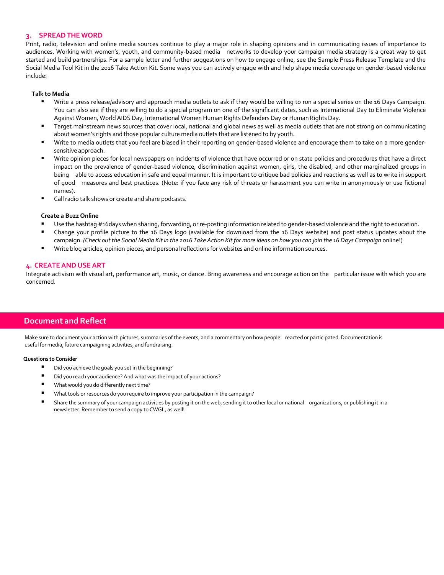## **3. SPREADTHE WORD**

Print, radio, television and online media sources continue to play a major role in shaping opinions and in communicating issues of importance to audiences. Working with women's, youth, and community-based media networks to develop your campaign media strategy is a great way to get started and build partnerships. For a sample letter and further suggestions on how to engage online, see the Sample Press Release Template and the Social Media Tool Kit in the 2016 Take Action Kit. Some ways you can actively engage with and help shape media coverage on gender-based violence include:

#### **Talk to Media**

- Write a press release/advisory and approach media outlets to ask if they would be willing to run a special series on the 16 Days Campaign. You can also see if they are willing to do a special program on one of the significant dates, such as International Day to Eliminate Violence Against Women, World AIDS Day, International Women Human Rights Defenders Day or Human Rights Day.
- Target mainstream news sources that cover local, national and global news as well as media outlets that are not strong on communicating about women's rights and those popular culture media outlets that are listened to by youth.
- Write to media outlets that you feel are biased in their reporting on gender-based violence and encourage them to take on a more gendersensitive approach.
- Write opinion pieces for local newspapers on incidents of violence that have occurred or on state policies and procedures that have a direct impact on the prevalence of gender-based violence, discrimination against women, girls, the disabled, and other marginalized groups in being able to access education in safe and equal manner. It is important to critique bad policies and reactions as well as to write in support of good measures and best practices. (Note: if you face any risk of threats or harassment you can write in anonymously or use fictional names).
- Call radio talk shows or create and share podcasts.

#### **Create a Buzz Online**

- Use the hashtag #16days when sharing, forwarding, or re-posting information related to gender-based violence and the right to education.
- Change your profile picture to the 16 Days logo (available for download from the 16 Days website) and post status updates about the campaign. (Check out the Social Media Kit in the 2016 Take Action Kit for more ideas on how you can join the 16 Days Campaign online!)
- Write blog articles, opinion pieces, and personal reflections for websites and online information sources.

#### **4. CREATEAND USEART**

Integrate activism with visual art, performance art, music, or dance. Bring awareness and encourage action on the particular issue with which you are concerned.

# **Document and Reflect**

Make sure to document your action with pictures, summaries of the events, and a commentary on how people reacted or participated. Documentation is useful for media, future campaigning activities, and fundraising.

#### **Questions toConsider**

- Did you achieve the goals you set in the beginning?
- Did you reach your audience? And what was the impact of your actions?
- What would you do differently next time?
- What tools or resources do you require to improve your participation in the campaign?
- Share the summary of your campaign activities by posting it on the web, sending it to other local or national organizations, or publishing it in a newsletter. Rememberto send a copy to CWGL, as well!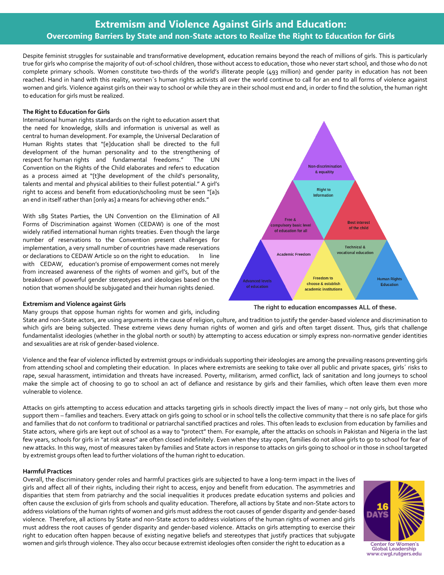# **Extremism and Violence Against Girls and Education: Overcoming Barriers by State and non-State actors to Realize the Right to Education for Girls**

Despite feminist struggles for sustainable and transformative development, education remains beyond the reach of millions of girls. This is particularly true for girls who comprise the majority of out-of-school children, those without access to education, those who never start school, and those who do not complete primary schools. Women constitute two-thirds of the world's illiterate people (493 million) and gender parity in education has not been reached. Hand in hand with this reality, women´s human rights activists all over the world continue to call for an end to all forms of violence against women and girls. Violence against girls on their way to school or while they are in their school must end and, in order to find the solution, the human right to education for girls must be realized.

#### **The Right to Education for Girls**

International human rights standards on the right to education assert that the need for knowledge, skills and information is universal as well as central to human development. For example, the Universal Declaration of Human Rights states that "[e]ducation shall be directed to the full development of the human personality and to the strengthening of respect for human rights and fundamental freedoms." The UN Convention on the Rights of the Child elaborates and refers to education as a process aimed at "[t]he development of the child's personality, talents and mental and physical abilities to their fullest potential." A girl's right to access and benefit from education/schooling must be seen "[a]s an end in itself rather than [only as] a means for achieving other ends."

With 189 States Parties, the UN Convention on the Elimination of All Forms of Discrimination against Women (CEDAW) is one of the most widely ratified international human rights treaties. Even though the large number of reservations to the Convention present challenges for implementation, a very small number of countries have made reservations or declarations to CEDAW Article 10 on the right to education. In line with CEDAW, education's promise of empowerment comes not merely from increased awareness of the rights of women and girl's, but of the breakdown of powerful gender stereotypes and ideologies based on the notion that women should be subjugated and their human rights denied.



#### **Extremism and Violence against Girls**

Many groups that oppose human rights for women and girls, including

State and non-State actors, are using arguments in the cause of religion, culture, and tradition to justify the gender-based violence and discrimination to which girls are being subjected. These extreme views deny human rights of women and girls and often target dissent. Thus, girls that challenge fundamentalist ideologies (whether in the global north or south) by attempting to access education or simply express non-normative gender identities and sexualities are at risk of gender-based violence.

Violence and the fear of violence inflicted by extremist groups or individuals supporting their ideologies are among the prevailing reasons preventing girls from attending school and completing their education. In places where extremists are seeking to take over all public and private spaces, girls´ risks to rape, sexual harassment, intimidation and threats have increased. Poverty, militarism, armed conflict, lack of sanitation and long journeys to school make the simple act of choosing to go to school an act of defiance and resistance by girls and their families, which often leave them even more vulnerable to violence.

Attacks on girls attempting to access education and attacks targeting girls in schools directly impact the lives of many – not only girls, but those who support them – families and teachers. Every attack on girls going to school or in school tells the collective community that there is no safe place for girls and families that do not conform to traditional or patriarchal sanctified practices and roles. This often leads to exclusion from education by families and State actors, where girls are kept out of school as a way to "protect" them. For example, after the attacks on schools in Pakistan and Nigeria in the last few years, schools for girls in "at risk areas" are often closed indefinitely. Even when they stay open, families do not allow girls to go to school for fear of new attacks. In this way, most of measures taken by families and State actors in response to attacks on girls going to school or in those in school targeted by extremist groups often lead to further violations of the human right to education.

#### **Harmful Practices**

Overall, the discriminatory gender roles and harmful practices girls are subjected to have a long-term impact in the lives of girls and affect all of their rights, including their right to access, enjoy and benefit from education. The asymmetries and disparities that stem from patriarchy and the social inequalities it produces predate education systems and policies and often cause the exclusion of girls from schools and quality education. Therefore, all actions by State and non-State actors to address violations of the human rights of women and girls must address the root causes of gender disparity and gender-based violence. Therefore, all actions by State and non-State actors to address violations of the human rights of women and girls must address the root causes of gender disparity and gender-based violence. Attacks on girls attempting to exercise their right to education often happen because of existing negative beliefs and stereotypes that justify practices that subjugate women and girls through violence. They also occur because extremist ideologies often consider the right to education as a



Center for Women's<br>Global Leadership www.cwgl.rutgers.edu

#### The right to education encompasses ALL of these.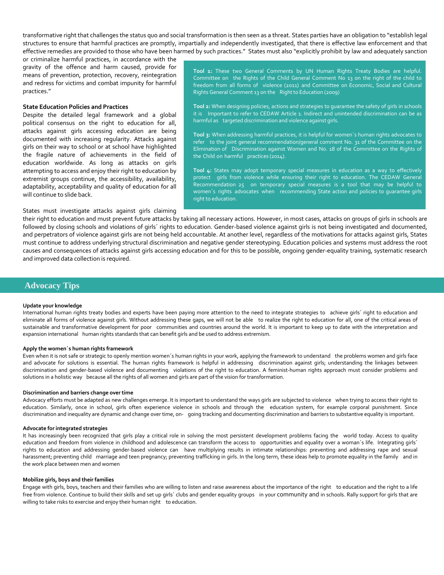transformative right that challenges the status quo and social transformation is then seen as a threat. States parties have an obligation to "establish legal structures to ensure that harmful practices are promptly, impartially and independently investigated, that there is effective law enforcement and that effective remedies are provided to those who have been harmed by such practices." States must also "explicitly prohibit by law and adequately sanction

or criminalize harmful practices, in accordance with the gravity of the offence and harm caused, provide for means of prevention, protection, recovery, reintegration and redress for victims and combat impunity for harmful practices."

#### **State Education Policies and Practices**

Despite the detailed legal framework and a global political consensus on the right to education for all, attacks against girls accessing education are being documented with increasing regularity. Attacks against girls on their way to school or at school have highlighted the fragile nature of achievements in the field of education worldwide. As long as attacks on girls attempting to access and enjoy their right to education by extremist groups continue, the accessibility, availability, adaptability, acceptability and quality of education for all will continue to slide back.

States must investigate attacks against girls claiming

**Tool 1:** These two General Comments by UN Human Rights Treaty Bodies are helpful. Committee on the Rights of the Child General Comment No 13 on the right of the child to freedom from all forms of violence (2011) and Committee on Economic, Social and Cultural Rights General Comment 13 on the Right to Education (2009)

**Tool 2:** When designing policies, actions and strategies to guarantee the safety of girls in schools it is Important to refer to CEDAW Article 1. Indirect and unintended discrimination can be as harmful as targeted discrimination and violence against girls.

**Tool 3:** When addressing harmful practices, it is helpful for women´s human rights advocates to refer to the joint general recommendation/general comment No. 31 of the Committee on the Elimination of Discrimination against Women and No. 18 of the Committee on the Rights of the Child on harmful practices (2014).

**Tool 4:** States may adopt temporary special measures in education as a way to effectively protect girls from violence while ensuring their right to education. The CEDAW General Recommendation 25 on temporary special measures is a tool that may be helpful to women´s rights advocates when recommending State action and policies to guarantee girls right to education.

their right to education and must prevent future attacks by taking all necessary actions. However, in most cases, attacks on groups of girls in schools are followed by closing schools and violations of girls' rights to education. Gender-based violence against girls is not being investigated and documented, and perpetrators of violence against girls are not being held accountable. At another level, regardless of the motivations for attacks against girls, States must continue to address underlying structural discrimination and negative gender stereotyping. Education policies and systems must address the root causes and consequences of attacks against girls accessing education and for this to be possible, ongoing gender-equality training, systematic research and improved data collection is required.

# **Advocacy Tips Advocacy Tips**

#### **Update your knowledge**

International human rights treaty bodies and experts have been paying more attention to the need to integrate strategies to achieve girls´ right to education and eliminate all forms of violence against girls. Without addressing these gaps, we will not be able to realize the right to education for all, one of the critical areas of sustainable and transformative development for poor communities and countries around the world. It is important to keep up to date with the interpretation and expansion international human rights standards that can benefit girls and be used to address extremism.

#### **Apply the women´s human rights framework**

Even when it is not safe or strategic to openly mention women´s human rights in your work, applying the framework to understand the problems women and girls face and advocate for solutions is essential. The human rights framework is helpful in addressing discrimination against girls; understanding the linkages between discrimination and gender-based violence and documenting violations of the right to education. A feminist-human rights approach must consider problems and solutions in a holistic way because all the rights of all women and girls are part of the vision for transformation.

#### **Discrimination and barriers change over time**

Advocacy efforts must be adapted as new challenges emerge. It is important to understand the ways girls are subjected to violence when trying to access their right to education. Similarly, once in school, girls often experience violence in schools and through the education system, for example corporal punishment. Since discrimination and inequality are dynamic and change over time, on- going tracking and documenting discrimination and barriers to substantive equality is important.

#### **Advocate for integrated strategies**

It has increasingly been recognized that girls play a critical role in solving the most persistent development problems facing the world today. Access to quality education and freedom from violence in childhood and adolescence can transform the access to opportunities and equality over a woman's life. Integrating girls' rights to education and addressing gender-based violence can have multiplying results in intimate relationships: preventing and addressing rape and sexual harassment; preventing child marriage and teen pregnancy; preventing trafficking in girls. In the long term, these ideas help to promote equality in the family and in the work place between men and women

#### **Mobilize girls, boys and their families**

Engage with girls, boys, teachers and their families who are willing to listen and raise awareness about the importance of the right to education and the right to a life free from violence. Continue to build their skills and set up girls' clubs and gender equality groups in your community and in schools. Rally support for girls that are willing to take risks to exercise and enjoy their human right to education.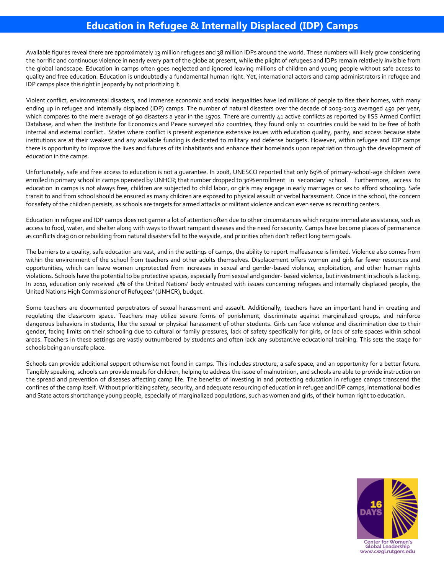# **Education in Refugee & Internally Displaced (IDP) Camps**

Available figures reveal there are approximately 13 million refugees and 38 million IDPs around the world. These numbers will likely grow considering the horrific and continuous violence in nearly every part of the globe at present, while the plight of refugees and IDPs remain relatively invisible from the global landscape. Education in camps often goes neglected and ignored leaving millions of children and young people without safe access to quality and free education. Education is undoubtedly a fundamental human right. Yet, international actors and camp administrators in refugee and IDP camps place this right in jeopardy by not prioritizing it.

Violent conflict, environmental disasters, and immense economic and social inequalities have led millions of people to flee their homes, with many ending up in refugee and internally displaced (IDP) camps. The number of natural disasters over the decade of 2003-2013 averaged 450 per year, which compares to the mere average of 90 disasters a year in the 1970s. There are currently 41 active conflicts as reported by IISS Armed Conflict Database, and when the Institute for Economics and Peace surveyed 162 countries, they found only 11 countries could be said to be free of both internal and external conflict. States where conflict is present experience extensive issues with education quality, parity, and access because state institutions are at their weakest and any available funding is dedicated to military and defense budgets. However, within refugee and IDP camps there is opportunity to improve the lives and futures of its inhabitants and enhance their homelands upon repatriation through the development of education in the camps.

Unfortunately, safe and free access to education is not a guarantee. In 2008, UNESCO reported that only 69% of primary-school-age children were enrolled in primary school in camps operated by UNHCR; that number dropped to 30% enrollment in secondary school. Furthermore, access to education in camps is not always free, children are subjected to child labor, or girls may engage in early marriages or sex to afford schooling. Safe transit to and from school should be ensured as many children are exposed to physical assault or verbal harassment. Once in the school, the concern for safety of the children persists, as schools are targets for armed attacks or militant violence and can even serve as recruiting centers.

Education in refugee and IDP camps does not garner a lot of attention often due to other circumstances which require immediate assistance, such as access to food, water, and shelter along with ways to thwart rampant diseases and the need for security. Camps have become places of permanence as conflicts drag on or rebuilding from natural disasters fall to the wayside, and priorities often don't reflect long term goals.

The barriers to a quality, safe education are vast, and in the settings of camps, the ability to report malfeasance is limited. Violence also comes from within the environment of the school from teachers and other adults themselves. Displacement offers women and girls far fewer resources and opportunities, which can leave women unprotected from increases in sexual and gender-based violence, exploitation, and other human rights violations. Schools have the potential to be protective spaces, especially from sexual and gender- based violence, but investment in schools is lacking. In 2010, education only received 4% of the United Nations' body entrusted with issues concerning refugees and internally displaced people, the United Nations High Commissioner of Refugees' (UNHCR), budget.

Some teachers are documented perpetrators of sexual harassment and assault. Additionally, teachers have an important hand in creating and regulating the classroom space. Teachers may utilize severe forms of punishment, discriminate against marginalized groups, and reinforce dangerous behaviors in students, like the sexual or physical harassment of other students. Girls can face violence and discrimination due to their gender, facing limits on their schooling due to cultural or family pressures, lack of safety specifically for girls, or lack of safe spaces within school areas. Teachers in these settings are vastly outnumbered by students and often lack any substantive educational training. This sets the stage for schools being an unsafe place.

Schools can provide additional support otherwise not found in camps. This includes structure, a safe space, and an opportunity for a better future. Tangibly speaking, schools can provide meals for children, helping to address the issue of malnutrition, and schools are able to provide instruction on the spread and prevention of diseases affecting camp life. The benefits of investing in and protecting education in refugee camps transcend the confines of the camp itself. Without prioritizing safety, security, and adequate resourcing of education in refugee and IDP camps, international bodies and State actors shortchange young people, especially of marginalized populations, such as women and girls, of their human right to education.



Center for Women's<br>Global Leadership www.cwgl.rutgers.edu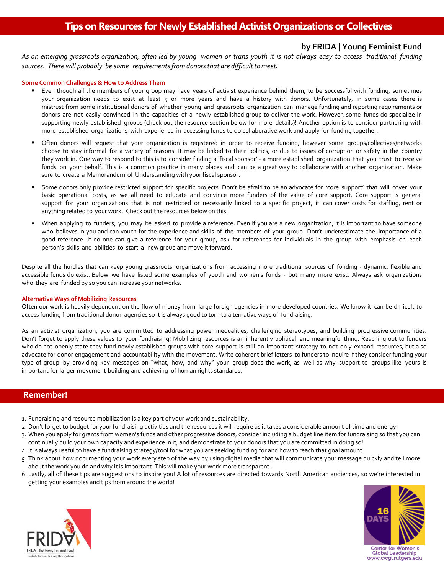# **by FRIDA | Young Feminist Fund**

As an emerging grassroots organization, often led by young women or trans youth it is not always easy to access traditional funding *sources. There will probably be some requirementsfrom donorsthat are difficultto meet.*

#### **Some Common Challenges & How to Address Them**

- Even though all the members of your group may have years of activist experience behind them, to be successful with funding, sometimes your organization needs to exist at least 5 or more years and have a history with donors. Unfortunately, in some cases there is mistrust from some institutional donors of whether young and grassroots organization can manage funding and reporting requirements or donors are not easily convinced in the capacities of a newly established group to deliver the work. However, some funds do specialize in supporting newly established groups (check out the resource section below for more details)! Another option is to consider partnering with more established organizations with experience in accessing funds to do collaborative work and apply for funding together.
- Often donors will request that your organization is registered in order to receive funding, however some groups/collectives/networks choose to stay informal for a variety of reasons. It may be linked to their politics, or due to issues of corruption or safety in the country they work in. One way to respond to this is to consider finding a 'fiscal sponsor' - a more established organization that you trust to receive funds on your behalf. This is a common practice in many places and can be a great way to collaborate with another organization. Make sure to create a Memorandum of Understanding with your fiscal sponsor.
- Some donors only provide restricted support for specific projects. Don't be afraid to be an advocate for 'core support' that will cover your basic operational costs, as we all need to educate and convince more funders of the value of core support. Core support is general support for your organizations that is not restricted or necessarily linked to a specific project, it can cover costs for staffing, rent or anything related to your work. Check out the resources below on this.
- When applying to funders, you may be asked to provide a reference**.** Even if you are a new organization, it is important to have someone who believes in you and can vouch for the experience and skills of the members of your group. Don't underestimate the importance of a good reference. If no one can give a reference for your group, ask for references for individuals in the group with emphasis on each person's skills and abilities to start a new group and move it forward.

Despite all the hurdles that can keep young grassroots organizations from accessing more traditional sources of funding - dynamic, flexible and accessible funds do exist. Below we have listed some examples of youth and women's funds - but many more exist. Always ask organizations who they are funded by so you can increase your networks.

#### **Alternative Ways of Mobilizing Resources**

Often our work is heavily dependent on the flow of money from large foreign agencies in more developed countries. We know it can be difficult to access funding from traditional donor agencies so it is always good to turn to alternative ways of fundraising.

As an activist organization, you are committed to addressing power inequalities, challenging stereotypes, and building progressive communities. Don't forget to apply these values to your fundraising! Mobilizing resources is an inherently political and meaningful thing. Reaching out to funders who do not openly state they fund newly established groups with core support is still an important strategy to not only expand resources, but also advocate for donor engagement and accountability with the movement. Write coherent brief letters to funders to inquire if they consider funding your type of group by providing key messages on "what, how, and why" your group does the work, as well as why support to groups like yours is important for larger movement building and achieving of human rights standards.

# **Remember!**

- 1. Fundraising and resource mobilization is a key part of your work and sustainability.
- 2. Don't forget to budget for your fundraising activities and the resources it will require as it takes a considerable amount of time and energy.
- 3. When you apply for grants from women's funds and other progressive donors, consider including a budget line item for fundraising so that you can continually build your own capacity and experience in it, and demonstrate to your donors that you are committed in doing so!
- 4. It is always useful to have a fundraising strategy/tool for what you are seeking funding for and how to reach that goal amount.
- 5. Think about how documenting your work every step of the way by using digital media that will communicate your message quickly and tell more about the work you do and why it is important. This will make your work more transparent.
- 6. Lastly, all of these tips are suggestions to inspire you! A lot of resources are directed towards North American audiences, so we're interested in getting your examples and tips from around the world!



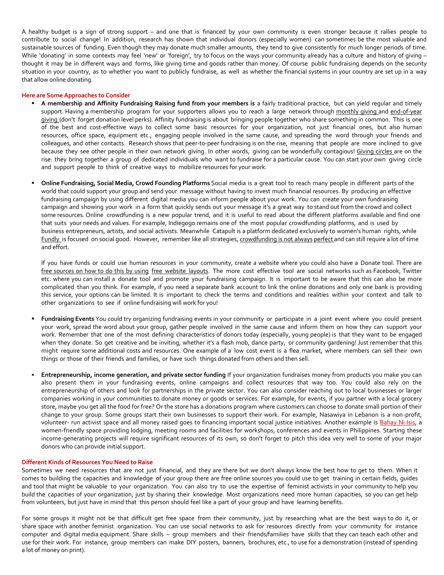A healthy budget is a sign of strong support – and one that is financed by your own community is even stronger because it rallies people to contribute to social change! In addition, research has shown that individual donors (especially women) can sometimes be the most valuable and sustainable sources of funding. Even though they may donate much smaller amounts, they tend to give consistently for much longer periods of time. While 'donating' in some contexts may feel 'new' or 'foreign', try to focus on the ways your community already has a culture and history of giving thought it may be in different ways and forms, like giving time and goods rather than money. Of course public fundraising depends on the security situation in your country, as to whether you want to publicly fundraise, as well as whether the financial systems in your country are set up in a way that allow online donating.

#### **Here are Some Approaches to Consider**

- **A membership and Affinity Fundraising Raising fund from your members is** a fairly traditional practice, but can yield regular and timely support. Having a membership program for your supporters allows you to reach a large network through [monthly](http://www.fundraisingsuccessmag.com/article/10-things-you-need-know-about-creating-monthly-giving-program-410431/1) giving and [end-of-year](http://www.salsalabs.com/why-salsa/strategic-best-practices/essential-guide-end-year-fundraising-nonprofits-all-sizes) [giving](http://www.salsalabs.com/why-salsa/strategic-best-practices/essential-guide-end-year-fundraising-nonprofits-all-sizes) (don't forget [donation](http://www.raise-funds.com/2009/membership-campaigns-the-how-to/) level perks). Affinity fundraising is about bringing people together who share something in common. This is one of the best and cost-effective ways to collect some basic resources for your organization, not just financial ones, but also human resources, office space, equipment etc., engaging people involved in the same cause, and spreading the word through your friends and colleagues, and other contacts. Research shows that peer-to-peer fundraising is on the rise, meaning that people are more inclined to give because they see other people in their own network giving. In other words, giving can be wonderfully contagious! [Giving](http://en.wikipedia.org/wiki/Giving_circles) circles are on the rise: they bring together a group of dedicated individuals who want to fundraise for a particular cause. You can start your own giving circle and support people to think of creative ways to mobilize resources for your work.
- **Online Fundraising, Social Media, Crowd Founding Platforms** Social media is a great tool to reach many people in different parts of the world that could support your group and send your message without having to invest much financial resources. By producing an effective fundraising campaign by using different digital media you can inform people about your work. You can create your own fundraising campaign and showing your work in a form that quickly sends out your message it's a great way to stand out from the crowd and collect some resources. Online crowdfunding is a new popular trend, and it is useful to read about the different platforms available and find one that suits your needs and values. For example, Indiegogo remains one of the most popular crowdfunding platforms, and is used by business entrepreneurs, artists, and social activists. Meanwhile [Catapult](http://www.catapult.org/) is a platform dedicated exclusively to women's human rights, while [Fundly](http://fundly.com/) is focused on social good. However, remember like all strategies, [crowdfunding](http://www.anniedanger.com/the-revolutionary-etiquette-of-crowdfunding/) is not always [perfect](http://www.anniedanger.com/the-revolutionary-etiquette-of-crowdfunding/) and can still require a lot of time and effort.

If you have funds or could use human resources in your community, create a website where you could also have a Donate tool. There are free [sources](http://www.nonprofithub.org/featured/5-online-donation-tools-to-delight-your-donors/) on how to do this by using free website [layouts.](http://www.nonprofithub.org/featured/5-online-donation-tools-to-delight-your-donors/) The more cost effective tool are social networks such as Facebook, Twitter etc. where you can install a donate tool and promote your fundraising campaign. It is important to be aware that this can also be more complicated than you think. For example, if you need a separate bank account to link the online donations and only one bank is providing this service, your options can be limited. It is important to check the terms and conditions and realities within your context and talk to other organizations to see if online fundraising will work for you!

- **Fundraising Events** You could try organizing fundraising events in your community or participate in a joint event where you could present your work, spread the word about your group, gather people involved in the same cause and inform them on how they can support your work. Remember that one of the most defining characteristics of donors today (especially, young people) is that they want to be engaged when they donate. So get creative and be inviting, whether it's a flash mob, dance party, or community gardening! Just remember that this might require some additional costs and resources. One example of a low cost event is a flea market, where members can sell their own things or those of their friends and families, or have such things donated from others and then sell.
- **Entrepreneurship, income generation, and private sector funding** If your organization fundraises money from products you make you can also present them in your fundraising events, online campaigns and collect resources that way too. You could also rely on the entrepreneurship of others and look for partnerships in the private sector. You can also consider reaching out to local businesses or larger companies working in your communities to donate money or goods or services. For example, for events, if you partner with a local grocery store, maybe you get all the food for free? Or the store has a donations program where customers can choose to donate small portion of their change to your group. Some groups start their own businesses to support their work. For example, Nasawiya in Lebanon is a non-profit, volunteer- run activist space and all money raised goes to financing important social justice initiatives. Another example is [Bahay Ni Isis,](http://accommodation.isiswomen.org/) a women-friendly space providing lodging, meeting rooms and facilities for workshops, conferences and events in Philippines. Starting these income-generating projects will require significant resources of its own, so don't forget to pitch this idea very well to some of your major donors who can provide initial support.

#### **Different Kinds of Resources You Need to Raise**

Sometimes we need resources that are not just financial, and they are there but we don't always know the best how to get to them. When it comes to building the capacities and knowledge of your group there are free online sources you could use to get training in certain fields, guides and tool that might be valuable to your organization. You can also try to use the expertise of feminist activists in your community to help you build the capacities of your organization, just by sharing their knowledge. Most organizations need more human capacities, so you can get help from volunteers, but just have in mind that this person should feel like a part of your group and have learning benefits.

For some groups it might not be that difficult get free space from their community, just by researching what are the best ways to do it, or share space with another feminist organization. You can use social networks to ask for resources directly from your community for instance computer and digital media equipment. Share skills – group members and their friends/families have skills that they can teach each other and use for their work. For instance, group members can make DIY posters, banners, brochures, etc., to use for a demonstration (instead of spending a lot of money on print).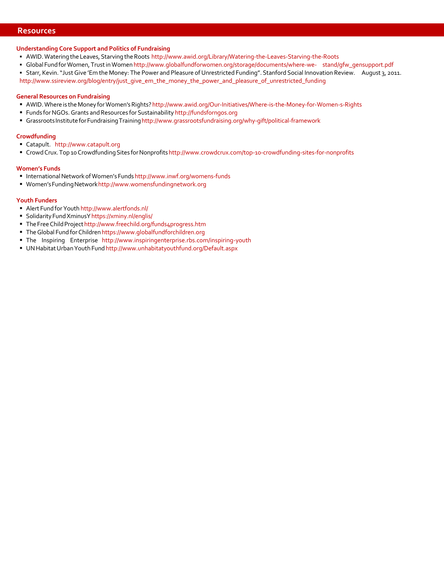#### **Resources**

## **Understanding Core Support and Politics of Fundraising**

- AWID. Watering the Leaves, Starving the Roots <http://www.awid.org/Library/Watering-the-Leaves-Starving-the-Roots>
- Global FundforWomen,TrustinWome[nhttp://www.globalfundforwomen.org/storage/documents/where-we-](http://www.globalfundforwomen.org/storage/documents/where-we-) stand/gfw\_gensupport.pdf
- Starr, Kevin."JustGive 'Em the Money: The Power and Pleasure of Unrestricted Funding". Stanford Social Innovation Review. August 3, 2011.
- [http://www.ssireview.org/blog/entry/just\\_give\\_em\\_the\\_money\\_the\\_power\\_and\\_pleasure\\_of\\_unrestricted\\_funding](http://www.ssireview.org/blog/entry/just_give_em_the_money_the_power_and_pleasure_of_unrestricted_funding)

## **General Resources on Fundraising**

- AWID.Where is theMoney forWomen'sRights? <http://www.awid.org/Our-Initiatives/Where-is-the-Money-for-Women-s-Rights>
- Funds for NGOs. Grants and Resources for Sustainability [http://fundsforngos.org](http://fundsforngos.org/)
- GrassrootsInstituteforFundraisingTrainin[ghttp://www.grassrootsfundraising.org/why-gift/political-framework](http://www.grassrootsfundraising.org/why-gift/political-framework)

#### **Crowdfunding**

- Catapult. [http://www.catapult.org](http://www.catapult.org/)
- CrowdCrux.Top 10CrowdfundingSites forNonprofit[shttp://www.crowdcrux.com/top-10-crowdfunding-sites-for-nonprofits](http://www.crowdcrux.com/top-10-crowdfunding-sites-for-nonprofits)

#### **Women's Funds**

- International Network of Women's Funds <http://www.inwf.org/womens-funds>
- Women'sFundingNetwor[khttp://www.womensfundingnetwork.org](http://www.womensfundingnetwork.org/)

#### **Youth Funders**

- Alert Fund forYouth <http://www.alertfonds.nl/>
- Solidarity Fund XminusY https://xminy.nl/englis/
- The Free Child Project http://www.freechild.org/funds4progress.htm
- The Global Fund for Children https://www.globalfundforchildren.org
- The Inspiring Enterprise http://www.inspiringenterprise.rbs.com/inspiring-youth
- UN Habitat Urban Youth Fund <http://www.unhabitatyouthfund.org/Default.aspx>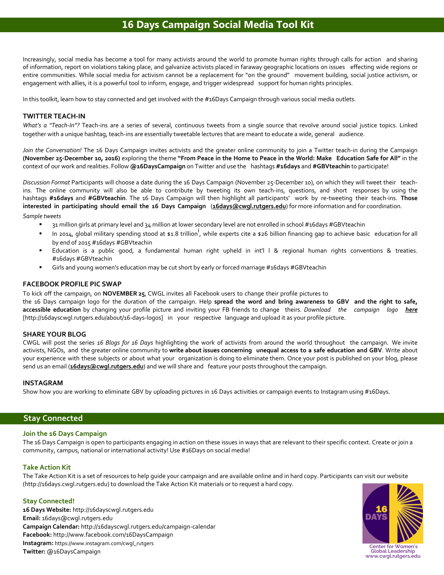Increasingly, social media has become a tool for many activists around the world to promote human rights through calls for action and sharing of information, report on violations taking place, and galvanize activists placed in faraway geographic locations on issues effecting wide regions or entire communities. While social media for activism cannot be a replacement for "on the ground" movement building, social justice activism, or engagement with allies, it is a powerful tool to inform, engage, and trigger widespread support for human rights principles.

In this toolkit, learn how to stay connected and get involved with the #16Days Campaign through various social media outlets.

## **TWITTER TEACH-IN**

*What's a "Teach-In"?* Teach-ins are a series of several, continuous tweets from a single source that revolve around social justice topics. Linked together with a unique hashtag, teach-ins are essentially tweetable lectures that are meant to educate a wide, general audience.

*Join the Conversation!* The 16 Days Campaign invites activists and the greater online community to join a Twitter teach-in during the Campaign **(November 25-December 10, 2016)** exploring the theme **"From Peace in the Home to Peace in the World: Make Education Safe for All"** in the context of our work and realities. Follow **@16DaysCampaign** on Twitter and use the hashtags **#16days** and **#GBVteachin** to participate!

*Discussion Format* Participants will choose a date during the 16 Days Campaign (November 25-December 10), on which they will tweet their teachins. The online community will also be able to contribute by tweeting its own teach-ins, questions, and short responses by using the hashtags **#16days** and **#GBVteachin**. The 16 Days Campaign will then highlight all participants' work by re-tweeting their teach-ins. **Those interested in participating should email the 16 Days Campaign** (**[16days@cwgl.rutgers.edu](mailto:16days@cwgl.rutgers.edu)**) for more information and for coordination. *Sample tweets*

- 31 million girls at primary level and 34 million at lower secondary level are not enrolled in school #16days #GBVteachin
- In 2014, global military spending stood at \$1.8 trillion<sup>1</sup>, while experts cite a \$26 billion financing gap to achieve basic education for all by end of 2015 #16days #GBVteachin
- Education is a public good, a fundamental human right upheld in int'l I & regional human rights conventions & treaties. [#16days](https://twitter.com/search?q=%2316days) [#GBVteachin](https://twitter.com/search?q=%23GBVteachin)
- Girls and young women's education may be cut short by early or forced marriage #16days #GBVteachin

#### **FACEBOOK PROFILE PIC SWAP**

To kick off the campaign, on **NOVEMBER 25**, CWGL invites all Facebook users to change their profile pictures to

the 16 Days campaign logo for the duration of the campaign. Help **spread the word and bring awareness to GBV and the right to safe, accessible education** by changing your profile picture and inviting your FB friends to change theirs. *Download the campaign logo [here](http://16dayscwgl.rutgers.edu/about/16-days-logos)*  [\[http://16dayscwgl.rutgers.edu/about/16-days-logos\]](http://16dayscwgl.rutgers.edu/about/16-days-logos) in your respective language and upload it as your profile picture.

#### **SHARE YOUR BLOG**

CWGL will post the series *16 Blogs for 16 Days* highlighting the work of activists from around the world throughout the campaign. We invite activists, NGOs, and the greater online community to **write about issues concerning unequal access to a safe education and GBV**. Write about your experience with these subjects or about what your organization is doing to eliminate them. Once your post is published on your blog, please send us an email (**[16days@cwgl.rutgers.edu](mailto:16days@cwgl.rutgers.edu)**) and we will share and feature your posts throughout the campaign.

#### **INSTAGRAM**

Show how you are working to eliminate GBV by uploading pictures in 16 Days activities or campaign events to Instagram using #16Days.

# **Stay Connected**

#### **Join the 16 Days Campaign**

The 16 Days Campaign is open to participants engaging in action on these issues in ways that are relevant to their specific context. Create or join a community, campus, national or international activity! Use #16Days on social media!

#### **Take Action Kit**

The Take Action Kit is a set of resources to help guide your campaign and are available online and in hard copy. Participants can visit our website (http://16days.cwgl.rutgers.edu) to download the Take Action Kit materials or to request a hard copy.

#### **Stay Connected!**

**16 Days Website:** http://16dayscwgl.rutgers.edu **Email:** 16days@cwgl.rutgers.edu **Campaign Calendar:** http://16dayscwgl.rutgers.edu/campaign-calendar **Facebook:** http://www.facebook.com/16DaysCampaign **Instagram:** https://www.instagram.com/cwgl\_rutgers **Twitter:** @16DaysCampaign

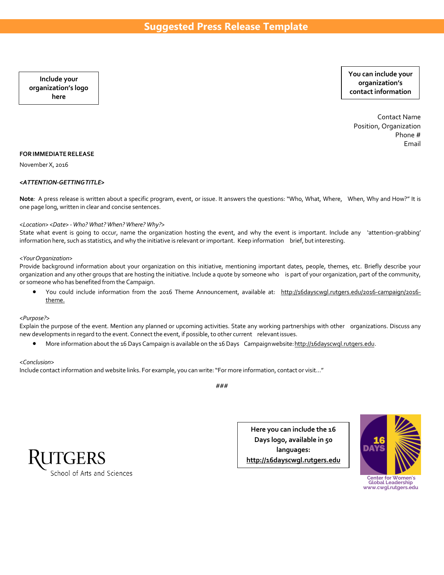**Include your organization's logo here**

**You can include your organization's contact information**

Contact Name Position, Organization Phone # Email

# **FORIMMEDIATERELEASE**

NovemberX, 2016

## *<ATTENTION-GETTINGTITLE>*

**Note***:* A press release is written about a specific program, event, or issue. It answers the questions: "Who, What, Where, When, Why and How?" It is one page long, written in clear and concise sentences.

#### *<Location> <Date> - Who? What? When? Where? Why?>*

State what event is going to occur, name the organization hosting the event, and why the event is important. Include any 'attention-grabbing' information here, such as statistics, and why the initiative is relevant or important. Keep information brief, but interesting.

#### *<YourOrganization>*

Provide background information about your organization on this initiative, mentioning important dates, people, themes, etc. Briefly describe your organization and any other groups that are hosting the initiative. Include a quote by someone who is part of your organization, part of the community, or someone who has benefited from the Campaign.

● You could include information from the 2016 Theme Announcement, available at: [http://16dayscwgl.rutgers.edu/2016-campaign/2016](http://16dayscwgl.rutgers.edu/2016-campaign/2016-theme.) [theme.](http://16dayscwgl.rutgers.edu/2016-campaign/2016-theme.)

#### *<Purpose?>*

Explain the purpose of the event. Mention any planned or upcoming activities. State any working partnerships with other organizations. Discuss any new developments in regard to the event. Connect the event, if possible, to other current relevant issues.

More information about the 16 Days Campaign is available on the 16 Days Campaignwebsite: http://16dayscwgl.rutgers.edu.

#### *<Conclusion>*

Include contactinformation and website links. For example, you can write:"For more information, contact or visit…"

*###*

**Here you can include the 16 Days logo, available in 50 languages: http://16dayscwgl.rutgers.edu**



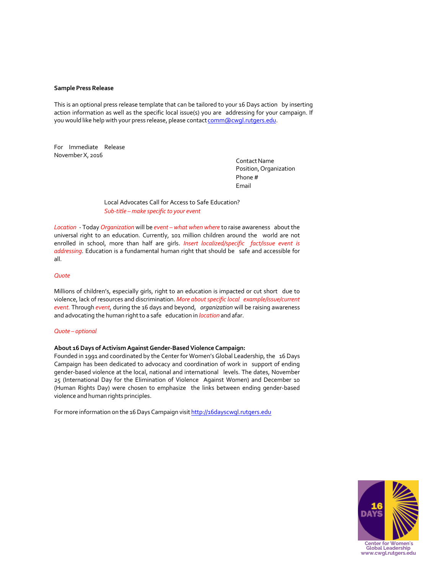#### **Sample Press Release**

This is an optional press release template that can be tailored to your 16 Days action by inserting action information as well as the specific local issue(s) you are addressing for your campaign. If you would like help with your press release, please contac[t comm@cwgl.rutgers.edu.](mailto:comm@cwgl.rutgers.edu)

For Immediate Release November X, 2016

Contact Name Position, Organization Phone# Email

Local Advocates Call for Access to Safe Education? *Sub-title – make specific to your event*

*Location -* Today *Organization* will be *event – what when where* to raise awareness about the universal right to an education. Currently, 101 million children around the world are not enrolled in school, more than half are girls. *Insert localized/specific fact/issue event is addressing.* Education is a fundamental human right that should be safe and accessible for all.

#### *Quote*

Millions of children's, especially girls, right to an education is impacted or cut short due to violence, lack of resources and discrimination. *More aboutspecific local example/issue/current event.* Through *event,* during the 16 days and beyond, *organization* will be raising awareness and advocating the human rightto a safe education in *location* and afar.

#### *Quote – optional*

## **About 16Days ofActivism AgainstGender-BasedViolence Campaign:**

Founded in 1991 and coordinated by the Center for Women's Global Leadership, the 16 Days Campaign has been dedicated to advocacy and coordination of work in support of ending gender-based violence at the local, national and international levels. The dates, November 25 (International Day for the Elimination of Violence Against Women) and December 10 (Human Rights Day) were chosen to emphasize the links between ending gender-based violence and human rights principles.

For more information on the 16 Days Campaign visit [http://16dayscwgl.rutgers.edu](http://16dayscwgl.rutgers.edu/)